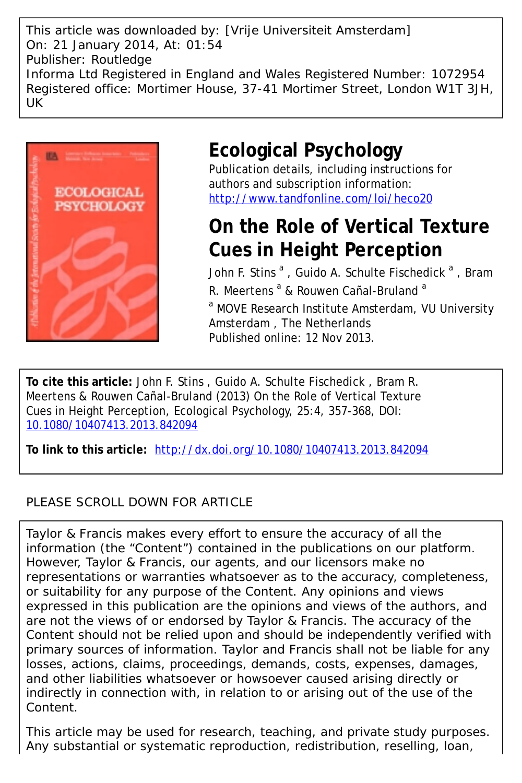This article was downloaded by: [Vrije Universiteit Amsterdam] On: 21 January 2014, At: 01:54 Publisher: Routledge Informa Ltd Registered in England and Wales Registered Number: 1072954 Registered office: Mortimer House, 37-41 Mortimer Street, London W1T 3JH, UK



# **Ecological Psychology**

Publication details, including instructions for authors and subscription information: <http://www.tandfonline.com/loi/heco20>

# **On the Role of Vertical Texture Cues in Height Perception**

John F. Stins<sup>a</sup>, Guido A. Schulte Fischedick<sup>a</sup>, Bram R. Meertens<sup>a</sup> & Rouwen Cañal-Bruland<sup>a</sup> <sup>a</sup> MOVE Research Institute Amsterdam, VU University Amsterdam , The Netherlands

Published online: 12 Nov 2013.

**To cite this article:** John F. Stins , Guido A. Schulte Fischedick , Bram R. Meertens & Rouwen Cañal-Bruland (2013) On the Role of Vertical Texture Cues in Height Perception, Ecological Psychology, 25:4, 357-368, DOI: [10.1080/10407413.2013.842094](http://www.tandfonline.com/action/showCitFormats?doi=10.1080/10407413.2013.842094)

**To link to this article:** <http://dx.doi.org/10.1080/10407413.2013.842094>

## PLEASE SCROLL DOWN FOR ARTICLE

Taylor & Francis makes every effort to ensure the accuracy of all the information (the "Content") contained in the publications on our platform. However, Taylor & Francis, our agents, and our licensors make no representations or warranties whatsoever as to the accuracy, completeness, or suitability for any purpose of the Content. Any opinions and views expressed in this publication are the opinions and views of the authors, and are not the views of or endorsed by Taylor & Francis. The accuracy of the Content should not be relied upon and should be independently verified with primary sources of information. Taylor and Francis shall not be liable for any losses, actions, claims, proceedings, demands, costs, expenses, damages, and other liabilities whatsoever or howsoever caused arising directly or indirectly in connection with, in relation to or arising out of the use of the Content.

This article may be used for research, teaching, and private study purposes. Any substantial or systematic reproduction, redistribution, reselling, loan,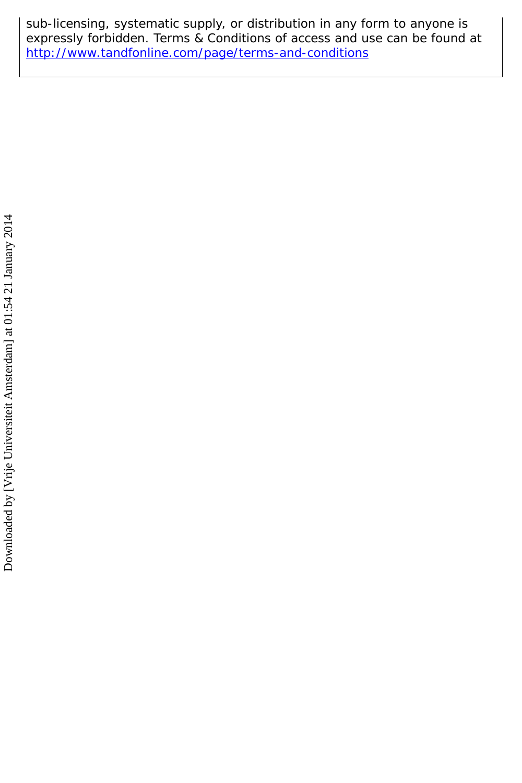sub-licensing, systematic supply, or distribution in any form to anyone is expressly forbidden. Terms & Conditions of access and use can be found at <http://www.tandfonline.com/page/terms-and-conditions>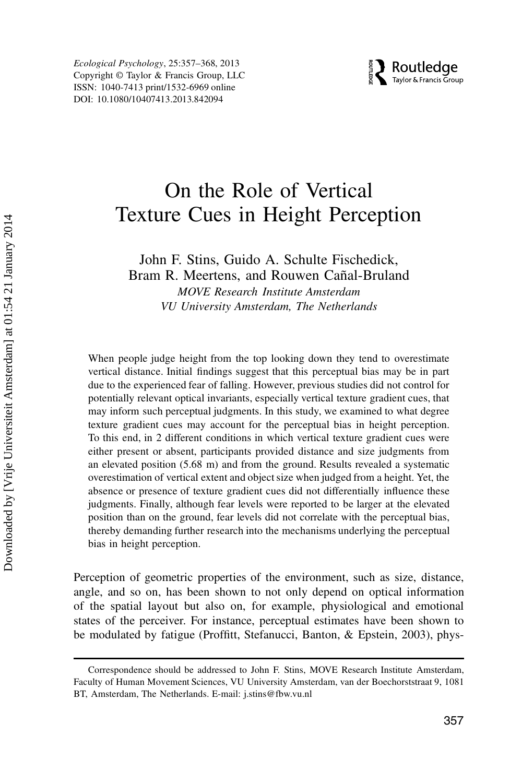Ecological Psychology, 25:357–368, 2013 Copyright © Taylor & Francis Group, LLC ISSN: 1040-7413 print/1532-6969 online DOI: 10.1080/10407413.2013.842094



# On the Role of Vertical Texture Cues in Height Perception

John F. Stins, Guido A. Schulte Fischedick, Bram R. Meertens, and Rouwen Cañal-Bruland MOVE Research Institute Amsterdam VU University Amsterdam, The Netherlands

When people judge height from the top looking down they tend to overestimate vertical distance. Initial findings suggest that this perceptual bias may be in part due to the experienced fear of falling. However, previous studies did not control for potentially relevant optical invariants, especially vertical texture gradient cues, that may inform such perceptual judgments. In this study, we examined to what degree texture gradient cues may account for the perceptual bias in height perception. To this end, in 2 different conditions in which vertical texture gradient cues were either present or absent, participants provided distance and size judgments from an elevated position (5.68 m) and from the ground. Results revealed a systematic overestimation of vertical extent and object size when judged from a height. Yet, the absence or presence of texture gradient cues did not differentially influence these judgments. Finally, although fear levels were reported to be larger at the elevated position than on the ground, fear levels did not correlate with the perceptual bias, thereby demanding further research into the mechanisms underlying the perceptual bias in height perception.

Perception of geometric properties of the environment, such as size, distance, angle, and so on, has been shown to not only depend on optical information of the spatial layout but also on, for example, physiological and emotional states of the perceiver. For instance, perceptual estimates have been shown to be modulated by fatigue (Proffitt, Stefanucci, Banton, & Epstein, 2003), phys-

Correspondence should be addressed to John F. Stins, MOVE Research Institute Amsterdam, Faculty of Human Movement Sciences, VU University Amsterdam, van der Boechorststraat 9, 1081 BT, Amsterdam, The Netherlands. E-mail: j.stins@fbw.vu.nl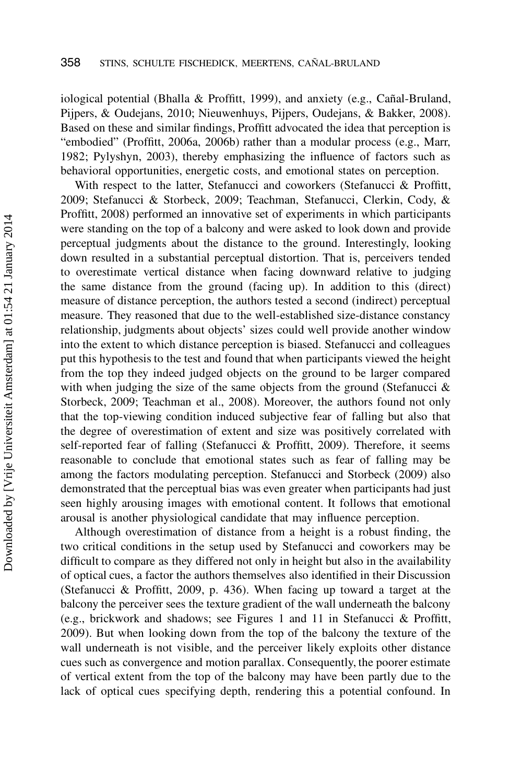iological potential (Bhalla & Proffitt, 1999), and anxiety (e.g., Cañal-Bruland, Pijpers, & Oudejans, 2010; Nieuwenhuys, Pijpers, Oudejans, & Bakker, 2008). Based on these and similar findings, Proffitt advocated the idea that perception is "embodied" (Proffitt, 2006a, 2006b) rather than a modular process (e.g., Marr, 1982; Pylyshyn, 2003), thereby emphasizing the influence of factors such as behavioral opportunities, energetic costs, and emotional states on perception.

With respect to the latter, Stefanucci and coworkers (Stefanucci & Proffitt, 2009; Stefanucci & Storbeck, 2009; Teachman, Stefanucci, Clerkin, Cody, & Proffitt, 2008) performed an innovative set of experiments in which participants were standing on the top of a balcony and were asked to look down and provide perceptual judgments about the distance to the ground. Interestingly, looking down resulted in a substantial perceptual distortion. That is, perceivers tended to overestimate vertical distance when facing downward relative to judging the same distance from the ground (facing up). In addition to this (direct) measure of distance perception, the authors tested a second (indirect) perceptual measure. They reasoned that due to the well-established size-distance constancy relationship, judgments about objects' sizes could well provide another window into the extent to which distance perception is biased. Stefanucci and colleagues put this hypothesis to the test and found that when participants viewed the height from the top they indeed judged objects on the ground to be larger compared with when judging the size of the same objects from the ground (Stefanucci  $\&$ Storbeck, 2009; Teachman et al., 2008). Moreover, the authors found not only that the top-viewing condition induced subjective fear of falling but also that the degree of overestimation of extent and size was positively correlated with self-reported fear of falling (Stefanucci & Proffitt, 2009). Therefore, it seems reasonable to conclude that emotional states such as fear of falling may be among the factors modulating perception. Stefanucci and Storbeck (2009) also demonstrated that the perceptual bias was even greater when participants had just seen highly arousing images with emotional content. It follows that emotional arousal is another physiological candidate that may influence perception.

Although overestimation of distance from a height is a robust finding, the two critical conditions in the setup used by Stefanucci and coworkers may be difficult to compare as they differed not only in height but also in the availability of optical cues, a factor the authors themselves also identified in their Discussion (Stefanucci & Proffitt, 2009, p. 436). When facing up toward a target at the balcony the perceiver sees the texture gradient of the wall underneath the balcony (e.g., brickwork and shadows; see Figures 1 and 11 in Stefanucci & Proffitt, 2009). But when looking down from the top of the balcony the texture of the wall underneath is not visible, and the perceiver likely exploits other distance cues such as convergence and motion parallax. Consequently, the poorer estimate of vertical extent from the top of the balcony may have been partly due to the lack of optical cues specifying depth, rendering this a potential confound. In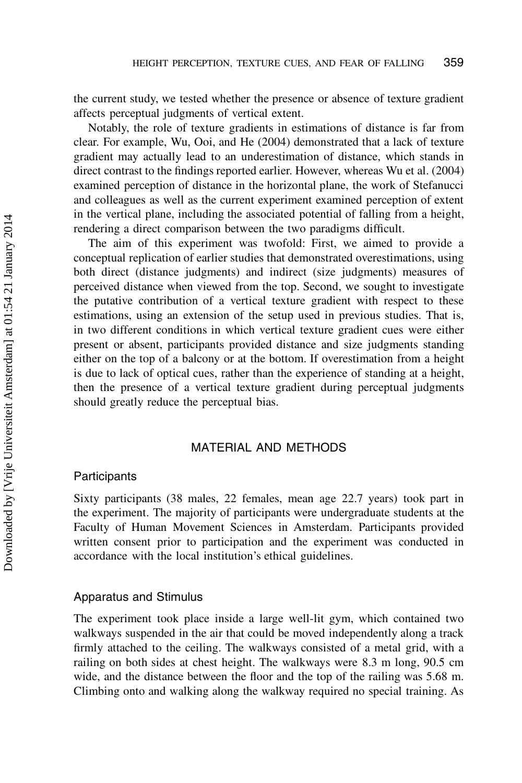the current study, we tested whether the presence or absence of texture gradient affects perceptual judgments of vertical extent.

Notably, the role of texture gradients in estimations of distance is far from clear. For example, Wu, Ooi, and He (2004) demonstrated that a lack of texture gradient may actually lead to an underestimation of distance, which stands in direct contrast to the findings reported earlier. However, whereas Wu et al. (2004) examined perception of distance in the horizontal plane, the work of Stefanucci and colleagues as well as the current experiment examined perception of extent in the vertical plane, including the associated potential of falling from a height, rendering a direct comparison between the two paradigms difficult.

The aim of this experiment was twofold: First, we aimed to provide a conceptual replication of earlier studies that demonstrated overestimations, using both direct (distance judgments) and indirect (size judgments) measures of perceived distance when viewed from the top. Second, we sought to investigate the putative contribution of a vertical texture gradient with respect to these estimations, using an extension of the setup used in previous studies. That is, in two different conditions in which vertical texture gradient cues were either present or absent, participants provided distance and size judgments standing either on the top of a balcony or at the bottom. If overestimation from a height is due to lack of optical cues, rather than the experience of standing at a height, then the presence of a vertical texture gradient during perceptual judgments should greatly reduce the perceptual bias.

### MATERIAL AND METHODS

#### **Participants**

Sixty participants (38 males, 22 females, mean age 22.7 years) took part in the experiment. The majority of participants were undergraduate students at the Faculty of Human Movement Sciences in Amsterdam. Participants provided written consent prior to participation and the experiment was conducted in accordance with the local institution's ethical guidelines.

#### Apparatus and Stimulus

The experiment took place inside a large well-lit gym, which contained two walkways suspended in the air that could be moved independently along a track firmly attached to the ceiling. The walkways consisted of a metal grid, with a railing on both sides at chest height. The walkways were 8.3 m long, 90.5 cm wide, and the distance between the floor and the top of the railing was 5.68 m. Climbing onto and walking along the walkway required no special training. As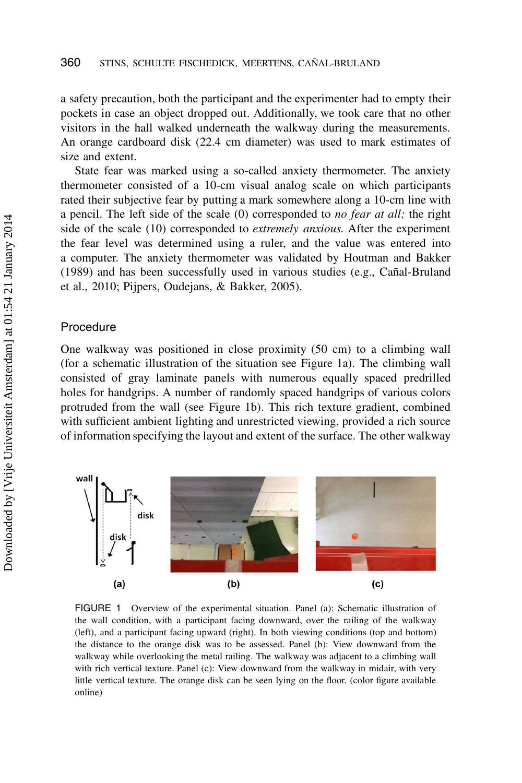a safety precaution, both the participant and the experimenter had to empty their pockets in case an object dropped out. Additionally, we took care that no other visitors in the hall walked underneath the walkway during the measurements. An orange cardboard disk (22.4 cm diameter) was used to mark estimates of size and extent.

State fear was marked using a so-called anxiety thermometer. The anxiety thermometer consisted of a 10-cm visual analog scale on which participants rated their subjective fear by putting a mark somewhere along a 10-cm line with a pencil. The left side of the scale (0) corresponded to no fear at all; the right side of the scale (10) corresponded to *extremely anxious*. After the experiment the fear level was determined using a ruler, and the value was entered into a computer. The anxiety thermometer was validated by Houtman and Bakker (1989) and has been successfully used in various studies (e.g., Cañal-Bruland et al., 2010; Pijpers, Oudejans, & Bakker, 2005).

#### Procedure

One walkway was positioned in close proximity (50 cm) to a climbing wall (for a schematic illustration of the situation see Figure 1a). The climbing wall consisted of gray laminate panels with numerous equally spaced predrilled holes for handgrips. A number of randomly spaced handgrips of various colors protruded from the wall (see Figure 1b). This rich texture gradient, combined with sufficient ambient lighting and unrestricted viewing, provided a rich source of information specifying the layout and extent of the surface. The other walkway



FIGURE 1 Overview of the experimental situation. Panel (a): Schematic illustration of the wall condition, with a participant facing downward, over the railing of the walkway (left), and a participant facing upward (right). In both viewing conditions (top and bottom) the distance to the orange disk was to be assessed. Panel (b): View downward from the walkway while overlooking the metal railing. The walkway was adjacent to a climbing wall with rich vertical texture. Panel (c): View downward from the walkway in midair, with very little vertical texture. The orange disk can be seen lying on the floor. (color figure available online)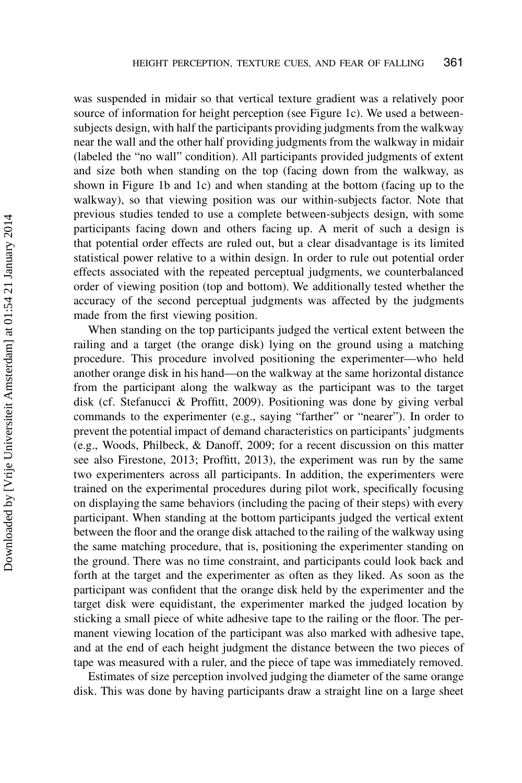was suspended in midair so that vertical texture gradient was a relatively poor source of information for height perception (see Figure 1c). We used a betweensubjects design, with half the participants providing judgments from the walkway near the wall and the other half providing judgments from the walkway in midair (labeled the "no wall" condition). All participants provided judgments of extent and size both when standing on the top (facing down from the walkway, as shown in Figure 1b and 1c) and when standing at the bottom (facing up to the walkway), so that viewing position was our within-subjects factor. Note that previous studies tended to use a complete between-subjects design, with some participants facing down and others facing up. A merit of such a design is that potential order effects are ruled out, but a clear disadvantage is its limited statistical power relative to a within design. In order to rule out potential order effects associated with the repeated perceptual judgments, we counterbalanced order of viewing position (top and bottom). We additionally tested whether the accuracy of the second perceptual judgments was affected by the judgments made from the first viewing position.

When standing on the top participants judged the vertical extent between the railing and a target (the orange disk) lying on the ground using a matching procedure. This procedure involved positioning the experimenter—who held another orange disk in his hand—on the walkway at the same horizontal distance from the participant along the walkway as the participant was to the target disk (cf. Stefanucci & Proffitt, 2009). Positioning was done by giving verbal commands to the experimenter (e.g., saying "farther" or "nearer"). In order to prevent the potential impact of demand characteristics on participants' judgments (e.g., Woods, Philbeck, & Danoff, 2009; for a recent discussion on this matter see also Firestone, 2013; Proffitt, 2013), the experiment was run by the same two experimenters across all participants. In addition, the experimenters were trained on the experimental procedures during pilot work, specifically focusing on displaying the same behaviors (including the pacing of their steps) with every participant. When standing at the bottom participants judged the vertical extent between the floor and the orange disk attached to the railing of the walkway using the same matching procedure, that is, positioning the experimenter standing on the ground. There was no time constraint, and participants could look back and forth at the target and the experimenter as often as they liked. As soon as the participant was confident that the orange disk held by the experimenter and the target disk were equidistant, the experimenter marked the judged location by sticking a small piece of white adhesive tape to the railing or the floor. The permanent viewing location of the participant was also marked with adhesive tape, and at the end of each height judgment the distance between the two pieces of tape was measured with a ruler, and the piece of tape was immediately removed.

Estimates of size perception involved judging the diameter of the same orange disk. This was done by having participants draw a straight line on a large sheet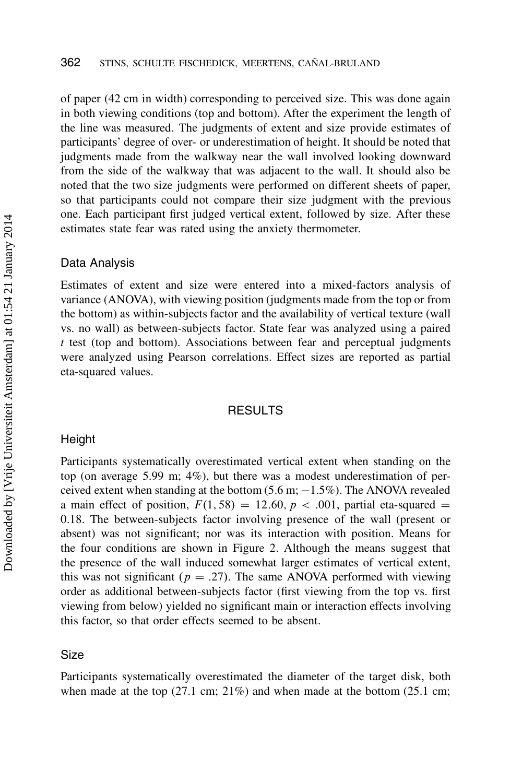of paper (42 cm in width) corresponding to perceived size. This was done again in both viewing conditions (top and bottom). After the experiment the length of the line was measured. The judgments of extent and size provide estimates of participants' degree of over- or underestimation of height. It should be noted that judgments made from the walkway near the wall involved looking downward from the side of the walkway that was adjacent to the wall. It should also be noted that the two size judgments were performed on different sheets of paper, so that participants could not compare their size judgment with the previous one. Each participant first judged vertical extent, followed by size. After these estimates state fear was rated using the anxiety thermometer.

#### Data Analysis

Estimates of extent and size were entered into a mixed-factors analysis of variance (ANOVA), with viewing position (judgments made from the top or from the bottom) as within-subjects factor and the availability of vertical texture (wall vs. no wall) as between-subjects factor. State fear was analyzed using a paired  $t$  test (top and bottom). Associations between fear and perceptual judgments were analyzed using Pearson correlations. Effect sizes are reported as partial eta-squared values.

### RESULTS

#### Height

Participants systematically overestimated vertical extent when standing on the top (on average 5.99 m;  $4\%$ ), but there was a modest underestimation of perceived extent when standing at the bottom  $(5.6 \text{ m}; -1.5\%)$ . The ANOVA revealed a main effect of position,  $F(1, 58) = 12.60, p < .001$ , partial eta-squared  $=$ 0.18. The between-subjects factor involving presence of the wall (present or absent) was not significant; nor was its interaction with position. Means for the four conditions are shown in Figure 2. Although the means suggest that the presence of the wall induced somewhat larger estimates of vertical extent, this was not significant ( $p = .27$ ). The same ANOVA performed with viewing order as additional between-subjects factor (first viewing from the top vs. first viewing from below) yielded no significant main or interaction effects involving this factor, so that order effects seemed to be absent.

#### Size

Participants systematically overestimated the diameter of the target disk, both when made at the top (27.1 cm; 21%) and when made at the bottom (25.1 cm;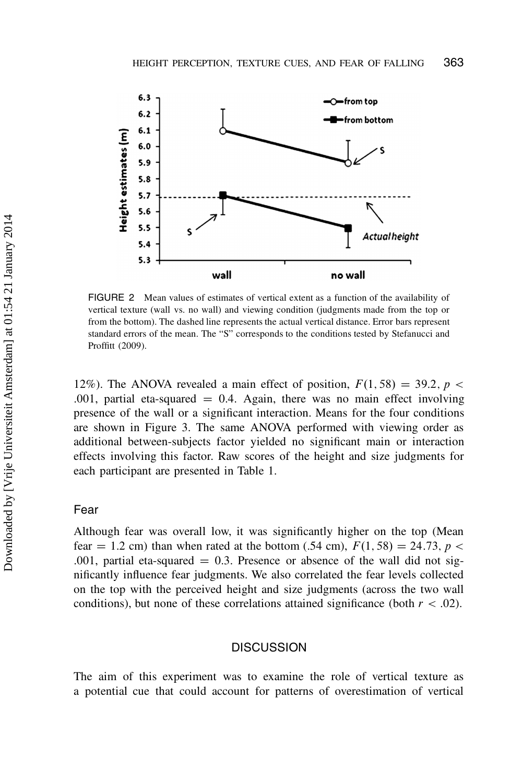

FIGURE 2 Mean values of estimates of vertical extent as a function of the availability of vertical texture (wall vs. no wall) and viewing condition (judgments made from the top or from the bottom). The dashed line represents the actual vertical distance. Error bars represent standard errors of the mean. The "S" corresponds to the conditions tested by Stefanucci and Proffitt (2009).

12%). The ANOVA revealed a main effect of position,  $F(1, 58) = 39.2$ ,  $p <$  $.001$ , partial eta-squared = 0.4. Again, there was no main effect involving presence of the wall or a significant interaction. Means for the four conditions are shown in Figure 3. The same ANOVA performed with viewing order as additional between-subjects factor yielded no significant main or interaction effects involving this factor. Raw scores of the height and size judgments for each participant are presented in Table 1.

#### Fear

Although fear was overall low, it was significantly higher on the top (Mean fear = 1.2 cm) than when rated at the bottom (.54 cm),  $F(1, 58) = 24.73$ ,  $p <$  $.001$ , partial eta-squared  $= 0.3$ . Presence or absence of the wall did not significantly influence fear judgments. We also correlated the fear levels collected on the top with the perceived height and size judgments (across the two wall conditions), but none of these correlations attained significance (both  $r < .02$ ).

#### **DISCUSSION**

The aim of this experiment was to examine the role of vertical texture as a potential cue that could account for patterns of overestimation of vertical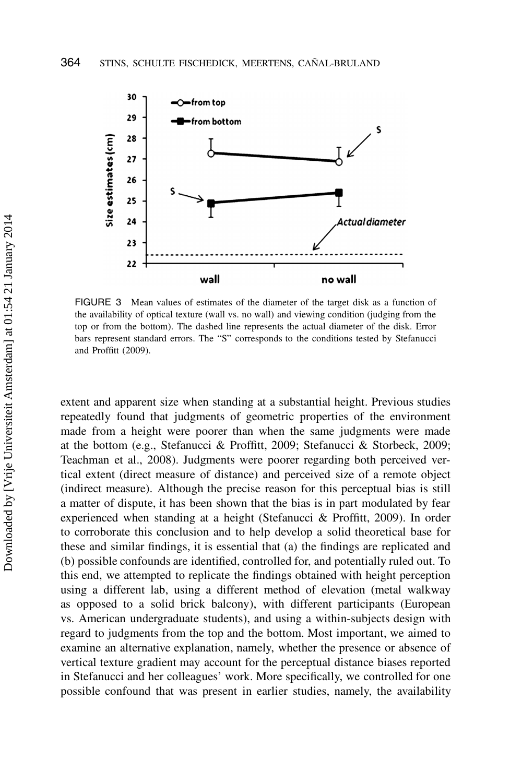

FIGURE 3 Mean values of estimates of the diameter of the target disk as a function of the availability of optical texture (wall vs. no wall) and viewing condition (judging from the top or from the bottom). The dashed line represents the actual diameter of the disk. Error bars represent standard errors. The "S" corresponds to the conditions tested by Stefanucci and Proffitt (2009).

extent and apparent size when standing at a substantial height. Previous studies repeatedly found that judgments of geometric properties of the environment made from a height were poorer than when the same judgments were made at the bottom (e.g., Stefanucci & Proffitt, 2009; Stefanucci & Storbeck, 2009; Teachman et al., 2008). Judgments were poorer regarding both perceived vertical extent (direct measure of distance) and perceived size of a remote object (indirect measure). Although the precise reason for this perceptual bias is still a matter of dispute, it has been shown that the bias is in part modulated by fear experienced when standing at a height (Stefanucci & Proffitt, 2009). In order to corroborate this conclusion and to help develop a solid theoretical base for these and similar findings, it is essential that (a) the findings are replicated and (b) possible confounds are identified, controlled for, and potentially ruled out. To this end, we attempted to replicate the findings obtained with height perception using a different lab, using a different method of elevation (metal walkway as opposed to a solid brick balcony), with different participants (European vs. American undergraduate students), and using a within-subjects design with regard to judgments from the top and the bottom. Most important, we aimed to examine an alternative explanation, namely, whether the presence or absence of vertical texture gradient may account for the perceptual distance biases reported in Stefanucci and her colleagues' work. More specifically, we controlled for one possible confound that was present in earlier studies, namely, the availability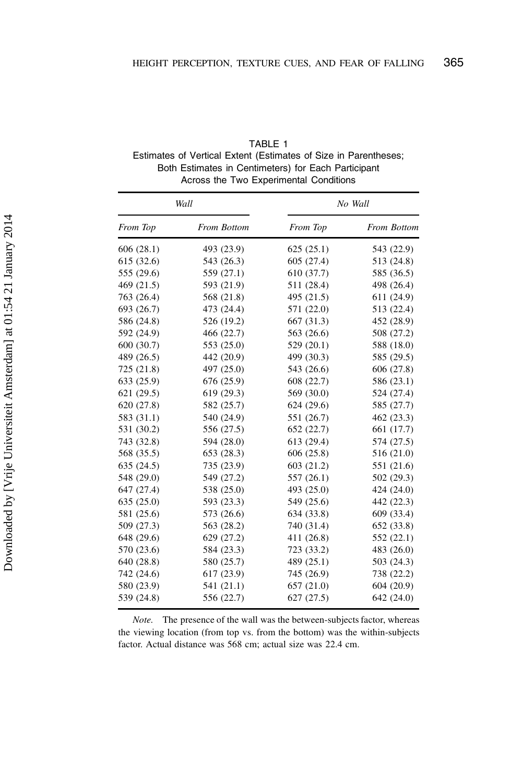| TABI F 1                                                        |
|-----------------------------------------------------------------|
| Estimates of Vertical Extent (Estimates of Size in Parentheses; |
| Both Estimates in Centimeters) for Each Participant             |
| Across the Two Experimental Conditions                          |

| Wall       |                    | No Wall    |             |
|------------|--------------------|------------|-------------|
| From Top   | <b>From Bottom</b> | From Top   | From Bottom |
| 606(28.1)  | 493 (23.9)         | 625(25.1)  | 543 (22.9)  |
| 615 (32.6) | 543 (26.3)         | 605 (27.4) | 513 (24.8)  |
| 555 (29.6) | 559 (27.1)         | 610 (37.7) | 585 (36.5)  |
| 469 (21.5) | 593 (21.9)         | 511 (28.4) | 498 (26.4)  |
| 763 (26.4) | 568 (21.8)         | 495 (21.5) | 611(24.9)   |
| 693 (26.7) | 473 (24.4)         | 571 (22.0) | 513 (22.4)  |
| 586 (24.8) | 526 (19.2)         | 667 (31.3) | 452 (28.9)  |
| 592 (24.9) | 466 (22.7)         | 563 (26.6) | 508 (27.2)  |
| 600 (30.7) | 553 (25.0)         | 529 (20.1) | 588 (18.0)  |
| 489 (26.5) | 442 (20.9)         | 499 (30.3) | 585 (29.5)  |
| 725 (21.8) | 497 (25.0)         | 543 (26.6) | 606 (27.8)  |
| 633 (25.9) | 676 (25.9)         | 608 (22.7) | 586 (23.1)  |
| 621(29.5)  | 619(29.3)          | 569 (30.0) | 524 (27.4)  |
| 620 (27.8) | 582 (25.7)         | 624 (29.6) | 585 (27.7)  |
| 583 (31.1) | 540 (24.9)         | 551 (26.7) | 462 (23.3)  |
| 531 (30.2) | 556 (27.5)         | 652 (22.7) | 661 (17.7)  |
| 743 (32.8) | 594 (28.0)         | 613 (29.4) | 574 (27.5)  |
| 568 (35.5) | 653 (28.3)         | 606 (25.8) | 516 (21.0)  |
| 635(24.5)  | 735 (23.9)         | 603 (21.2) | 551 (21.6)  |
| 548 (29.0) | 549 (27.2)         | 557 (26.1) | 502 (29.3)  |
| 647 (27.4) | 538 (25.0)         | 493 (25.0) | 424 (24.0)  |
| 635 (25.0) | 593 (23.3)         | 549 (25.6) | 442 (22.3)  |
| 581 (25.6) | 573 (26.6)         | 634 (33.8) | 609 (33.4)  |
| 509 (27.3) | 563 (28.2)         | 740 (31.4) | 652 (33.8)  |
| 648 (29.6) | 629 (27.2)         | 411 (26.8) | 552 (22.1)  |
| 570 (23.6) | 584 (23.3)         | 723 (33.2) | 483 (26.0)  |
| 640 (28.8) | 580 (25.7)         | 489 (25.1) | 503 (24.3)  |
| 742 (24.6) | 617(23.9)          | 745 (26.9) | 738 (22.2)  |
| 580 (23.9) | 541 (21.1)         | 657 (21.0) | 604 (20.9)  |
| 539 (24.8) | 556 (22.7)         | 627(27.5)  | 642 (24.0)  |

Note. The presence of the wall was the between-subjects factor, whereas the viewing location (from top vs. from the bottom) was the within-subjects factor. Actual distance was 568 cm; actual size was 22.4 cm.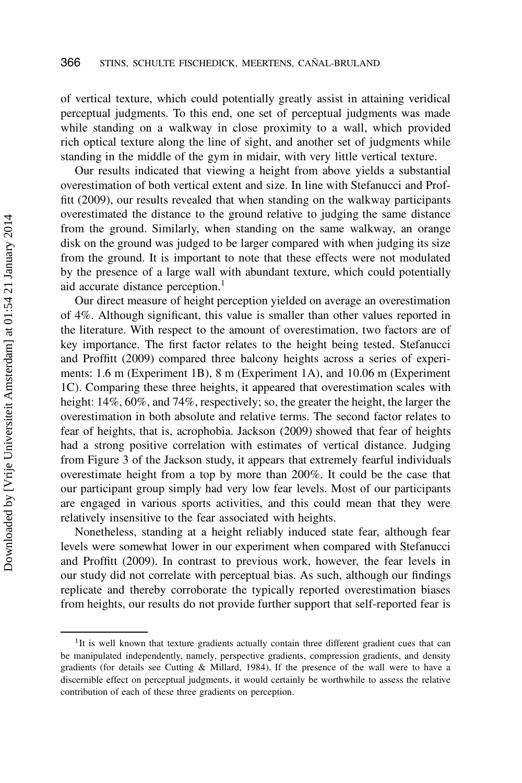of vertical texture, which could potentially greatly assist in attaining veridical perceptual judgments. To this end, one set of perceptual judgments was made while standing on a walkway in close proximity to a wall, which provided rich optical texture along the line of sight, and another set of judgments while standing in the middle of the gym in midair, with very little vertical texture.

Our results indicated that viewing a height from above yields a substantial overestimation of both vertical extent and size. In line with Stefanucci and Proffitt (2009), our results revealed that when standing on the walkway participants overestimated the distance to the ground relative to judging the same distance from the ground. Similarly, when standing on the same walkway, an orange disk on the ground was judged to be larger compared with when judging its size from the ground. It is important to note that these effects were not modulated by the presence of a large wall with abundant texture, which could potentially aid accurate distance perception.<sup>1</sup>

Our direct measure of height perception yielded on average an overestimation of 4%. Although significant, this value is smaller than other values reported in the literature. With respect to the amount of overestimation, two factors are of key importance. The first factor relates to the height being tested. Stefanucci and Proffitt (2009) compared three balcony heights across a series of experiments: 1.6 m (Experiment 1B), 8 m (Experiment 1A), and 10.06 m (Experiment 1C). Comparing these three heights, it appeared that overestimation scales with height: 14%, 60%, and 74%, respectively; so, the greater the height, the larger the overestimation in both absolute and relative terms. The second factor relates to fear of heights, that is, acrophobia. Jackson (2009) showed that fear of heights had a strong positive correlation with estimates of vertical distance. Judging from Figure 3 of the Jackson study, it appears that extremely fearful individuals overestimate height from a top by more than 200%. It could be the case that our participant group simply had very low fear levels. Most of our participants are engaged in various sports activities, and this could mean that they were relatively insensitive to the fear associated with heights.

Nonetheless, standing at a height reliably induced state fear, although fear levels were somewhat lower in our experiment when compared with Stefanucci and Proffitt (2009). In contrast to previous work, however, the fear levels in our study did not correlate with perceptual bias. As such, although our findings replicate and thereby corroborate the typically reported overestimation biases from heights, our results do not provide further support that self-reported fear is

<sup>&</sup>lt;sup>1</sup>It is well known that texture gradients actually contain three different gradient cues that can be manipulated independently, namely, perspective gradients, compression gradients, and density gradients (for details see Cutting & Millard, 1984). If the presence of the wall were to have a discernible effect on perceptual judgments, it would certainly be worthwhile to assess the relative contribution of each of these three gradients on perception.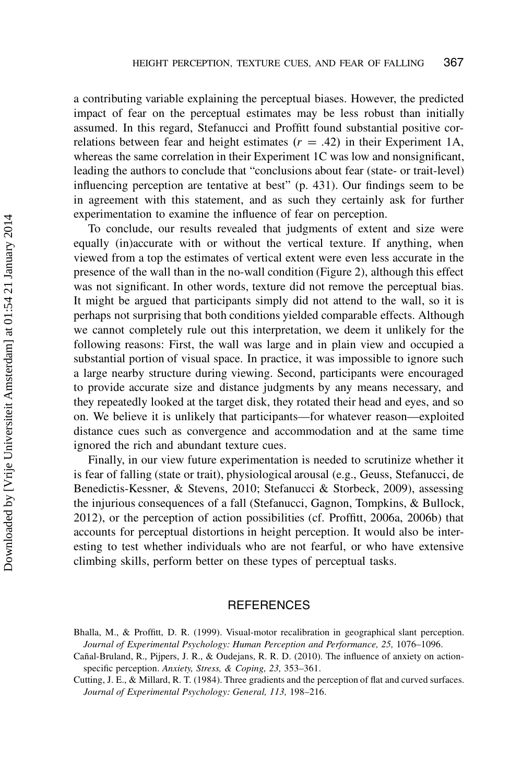a contributing variable explaining the perceptual biases. However, the predicted impact of fear on the perceptual estimates may be less robust than initially assumed. In this regard, Stefanucci and Proffitt found substantial positive correlations between fear and height estimates  $(r = .42)$  in their Experiment 1A, whereas the same correlation in their Experiment 1C was low and nonsignificant, leading the authors to conclude that "conclusions about fear (state- or trait-level) influencing perception are tentative at best" (p. 431). Our findings seem to be in agreement with this statement, and as such they certainly ask for further experimentation to examine the influence of fear on perception.

To conclude, our results revealed that judgments of extent and size were equally (in)accurate with or without the vertical texture. If anything, when viewed from a top the estimates of vertical extent were even less accurate in the presence of the wall than in the no-wall condition (Figure 2), although this effect was not significant. In other words, texture did not remove the perceptual bias. It might be argued that participants simply did not attend to the wall, so it is perhaps not surprising that both conditions yielded comparable effects. Although we cannot completely rule out this interpretation, we deem it unlikely for the following reasons: First, the wall was large and in plain view and occupied a substantial portion of visual space. In practice, it was impossible to ignore such a large nearby structure during viewing. Second, participants were encouraged to provide accurate size and distance judgments by any means necessary, and they repeatedly looked at the target disk, they rotated their head and eyes, and so on. We believe it is unlikely that participants—for whatever reason—exploited distance cues such as convergence and accommodation and at the same time ignored the rich and abundant texture cues.

Finally, in our view future experimentation is needed to scrutinize whether it is fear of falling (state or trait), physiological arousal (e.g., Geuss, Stefanucci, de Benedictis-Kessner, & Stevens, 2010; Stefanucci & Storbeck, 2009), assessing the injurious consequences of a fall (Stefanucci, Gagnon, Tompkins, & Bullock, 2012), or the perception of action possibilities (cf. Proffitt, 2006a, 2006b) that accounts for perceptual distortions in height perception. It would also be interesting to test whether individuals who are not fearful, or who have extensive climbing skills, perform better on these types of perceptual tasks.

### **REFERENCES**

Cañal-Bruland, R., Pijpers, J. R., & Oudejans, R. R. D. (2010). The influence of anxiety on actionspecific perception. Anxiety, Stress, & Coping, 23, 353-361.

Cutting, J. E., & Millard, R. T. (1984). Three gradients and the perception of flat and curved surfaces. Journal of Experimental Psychology: General, 113, 198–216.

Bhalla, M., & Proffitt, D. R. (1999). Visual-motor recalibration in geographical slant perception. Journal of Experimental Psychology: Human Perception and Performance, 25, 1076–1096.